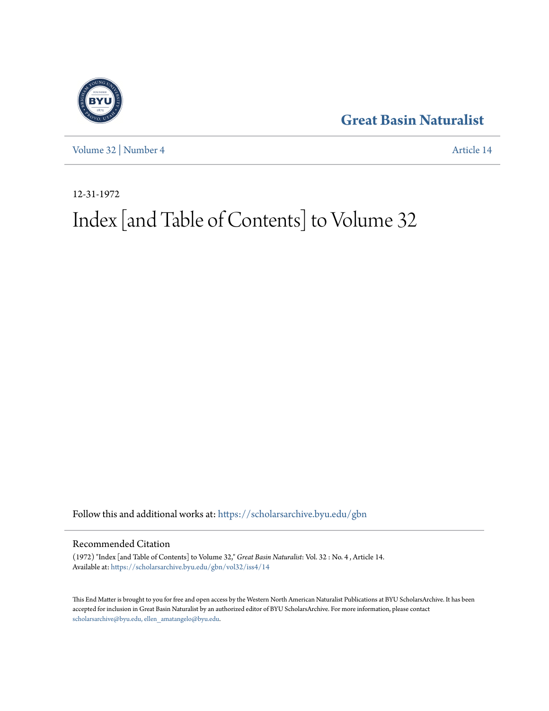## **[Great Basin Naturalist](https://scholarsarchive.byu.edu/gbn?utm_source=scholarsarchive.byu.edu%2Fgbn%2Fvol32%2Fiss4%2F14&utm_medium=PDF&utm_campaign=PDFCoverPages)**



[Volume 32](https://scholarsarchive.byu.edu/gbn/vol32?utm_source=scholarsarchive.byu.edu%2Fgbn%2Fvol32%2Fiss4%2F14&utm_medium=PDF&utm_campaign=PDFCoverPages) | [Number 4](https://scholarsarchive.byu.edu/gbn/vol32/iss4?utm_source=scholarsarchive.byu.edu%2Fgbn%2Fvol32%2Fiss4%2F14&utm_medium=PDF&utm_campaign=PDFCoverPages) [Article 14](https://scholarsarchive.byu.edu/gbn/vol32/iss4/14?utm_source=scholarsarchive.byu.edu%2Fgbn%2Fvol32%2Fiss4%2F14&utm_medium=PDF&utm_campaign=PDFCoverPages)

12-31-1972

# Index [and Table of Contents] to Volume 32

Follow this and additional works at: [https://scholarsarchive.byu.edu/gbn](https://scholarsarchive.byu.edu/gbn?utm_source=scholarsarchive.byu.edu%2Fgbn%2Fvol32%2Fiss4%2F14&utm_medium=PDF&utm_campaign=PDFCoverPages)

### Recommended Citation

(1972) "Index [and Table of Contents] to Volume 32," *Great Basin Naturalist*: Vol. 32 : No. 4 , Article 14. Available at: [https://scholarsarchive.byu.edu/gbn/vol32/iss4/14](https://scholarsarchive.byu.edu/gbn/vol32/iss4/14?utm_source=scholarsarchive.byu.edu%2Fgbn%2Fvol32%2Fiss4%2F14&utm_medium=PDF&utm_campaign=PDFCoverPages)

This End Matter is brought to you for free and open access by the Western North American Naturalist Publications at BYU ScholarsArchive. It has been accepted for inclusion in Great Basin Naturalist by an authorized editor of BYU ScholarsArchive. For more information, please contact [scholarsarchive@byu.edu, ellen\\_amatangelo@byu.edu.](mailto:scholarsarchive@byu.edu,%20ellen_amatangelo@byu.edu)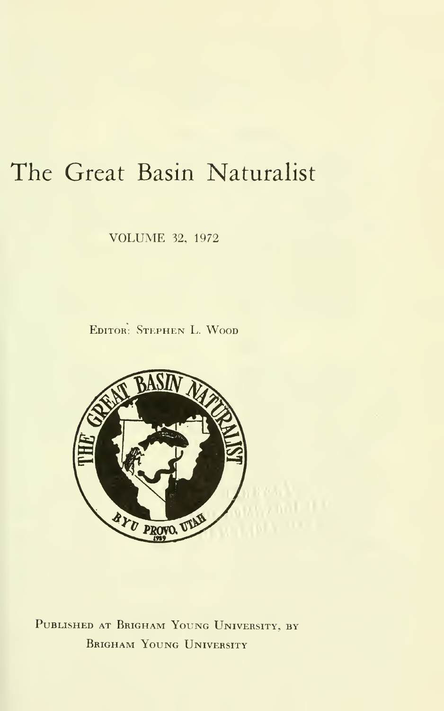## The Great Basin Naturalist

VOLUME 32, <sup>1972</sup>

Editor: Stephen L. Wood



Published at Brigham Young University, by BRIGHAM YOUNG UNIVERSITY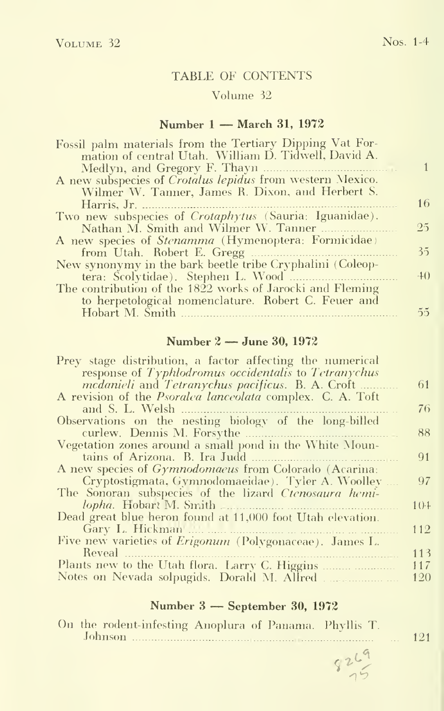#### TABLE OF CONTENTS

#### Volume 32

#### Number <sup>1</sup> — March 31, <sup>1972</sup>

| mation of central Utah. William D. Tidwell, David A.<br>Wilmer W. Tanner, James R. Dixon, and Herbert S.<br>16<br>Harris, Jr.<br>25<br>Nathan M. Smith and Wilmer W. Tanner<br>35<br>from Utah. Robert E. Gregg<br>$+0$<br>tera: Scolytidae). Stephen L. Wood<br>to herpetological nomenclature. Robert C. Feuer and<br>$\tilde{2}$<br>Hobart M. Smith | Fossil palm materials from the Tertiary Dipping Vat For- |  |
|--------------------------------------------------------------------------------------------------------------------------------------------------------------------------------------------------------------------------------------------------------------------------------------------------------------------------------------------------------|----------------------------------------------------------|--|
| A new subspecies of <i>Crotalus lepidus</i> from western Mexico.<br>Two new subspecies of <i>Crotaphytus</i> (Sauria: Iguanidae).<br>A new species of <i>Stenamma</i> (Hymenoptera: Formicidae)<br>New synonymy in the bark beetle tribe Cryphalini (Coleop-<br>The contribution of the 1822 works of Jarocki and Fleming                              |                                                          |  |
|                                                                                                                                                                                                                                                                                                                                                        |                                                          |  |
|                                                                                                                                                                                                                                                                                                                                                        |                                                          |  |
|                                                                                                                                                                                                                                                                                                                                                        |                                                          |  |
|                                                                                                                                                                                                                                                                                                                                                        |                                                          |  |
|                                                                                                                                                                                                                                                                                                                                                        |                                                          |  |
|                                                                                                                                                                                                                                                                                                                                                        |                                                          |  |
|                                                                                                                                                                                                                                                                                                                                                        |                                                          |  |
|                                                                                                                                                                                                                                                                                                                                                        |                                                          |  |
|                                                                                                                                                                                                                                                                                                                                                        |                                                          |  |
|                                                                                                                                                                                                                                                                                                                                                        |                                                          |  |
|                                                                                                                                                                                                                                                                                                                                                        |                                                          |  |
|                                                                                                                                                                                                                                                                                                                                                        |                                                          |  |
|                                                                                                                                                                                                                                                                                                                                                        |                                                          |  |

#### Number <sup>2</sup> — June 30, <sup>1972</sup>

| Prey stage distribution, a factor affecting the numerical        |          |
|------------------------------------------------------------------|----------|
| response of Typhlodromus occidentalis to Tetranychus             |          |
| <i>medanieli</i> and <i>Tetranychus pacificus</i> . B. A. Croft  | 61       |
| A revision of the <i>Psoralea lanceolata</i> complex. C. A. Toft |          |
| and S. L. Welsh                                                  | 76       |
| Observations on the nesting biology of the long-billed           |          |
| curlew. Dennis M. Forsythe                                       | 88       |
| Vegetation zones around a small pond in the White Moun-          |          |
| tains of Arizona. B. Ira Judd                                    | 91       |
| A new species of <i>Gymnodomaeus</i> from Colorado (Acarina:     |          |
| Cryptostigmata, Gymnodomaeidae). Tyler A. Woolley                | 97       |
| The Sonoran subspecies of the lizard Ctenosaura hemi-            |          |
| <i>lopha</i> . Hobart M. Smith                                   | $10 - 1$ |
| Dead great blue heron found at 11,000 foot Utah elevation.       |          |
| Gary L. Hickman                                                  | 112      |
| Five new varieties of <i>Erigonum</i> (Polygonaceae). James L.   |          |
| Reveal                                                           | 113      |
| Plants new to the Utah flora. Larry C. Higgins                   | 117      |
|                                                                  | 120      |
|                                                                  |          |

#### Number <sup>3</sup> — September 30, <sup>1972</sup>

| On the rodent-infesting Anoplura of Panama. Phyllis T.<br>Johnson |  |      |  |
|-------------------------------------------------------------------|--|------|--|
|                                                                   |  | 0269 |  |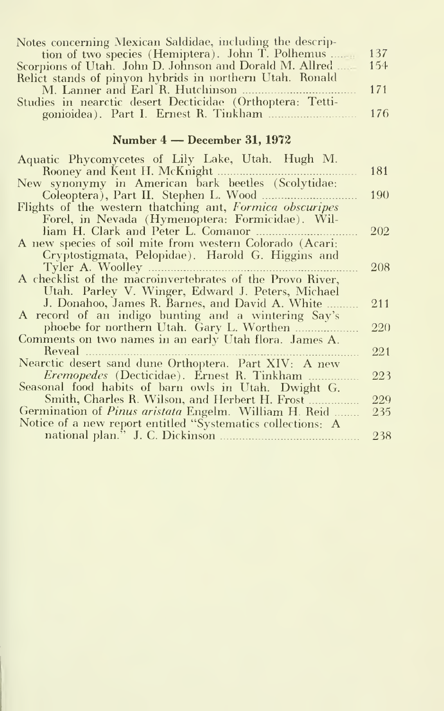| Notes concerning Mexican Saldidae, including the descrip- |  |
|-----------------------------------------------------------|--|
| tion of two species (Hemiptera). John T. Polhemus  137    |  |
|                                                           |  |
| Relict stands of pinyon hybrids in northern Utah. Ronald  |  |
|                                                           |  |
| Studies in nearctic desert Decticidae (Orthoptera: Tetti- |  |
|                                                           |  |

#### Number <sup>4</sup> — December 31, <sup>1972</sup>

| Aquatic Phycomycetes of Lily Lake, Utah. Hugh M.             |     |
|--------------------------------------------------------------|-----|
| Rooney and Kent H. McKnight                                  | 181 |
| New synonymy in American bark beetles (Scolytidae:           |     |
| Coleoptera), Part II. Stephen L. Wood                        | 190 |
| Flights of the western thatching ant, Formica obscuripes     |     |
| Forel, in Nevada (Hymenoptera: Formicidae). Wil-             |     |
| liam H. Clark and Peter L. Comanor                           | 202 |
| A new species of soil mite from western Colorado (Acari:     |     |
| Cryptostigmata, Pelopidae). Harold G. Higgins and            |     |
| Tyler A. Woolley                                             | 208 |
| A checklist of the macroinvertebrates of the Provo River,    |     |
| Utah. Parley V. Winger, Edward J. Peters, Michael            |     |
| J. Donahoo, James R. Barnes, and David A. White              | 211 |
| A record of an indigo bunting and a wintering Say's          |     |
| phoebe for northern Utah. Gary L. Worthen                    | 220 |
| Comments on two names in an early Utah flora. James A.       |     |
| Reveal                                                       | 221 |
| Nearctic desert sand dune Orthoptera. Part XIV: A new        |     |
| <i>Eremopedes</i> (Decticidae). Ernest R. Tinkham            | 223 |
| Seasonal food habits of barn owls in Utah. Dwight G.         |     |
| Smith, Charles R. Wilson, and Herbert H. Frost               | 229 |
| Germination of <i>Pinus aristata</i> Engelm. William H. Reid | 235 |
| Notice of a new report entitled "Systematics collections: A  |     |
|                                                              | 238 |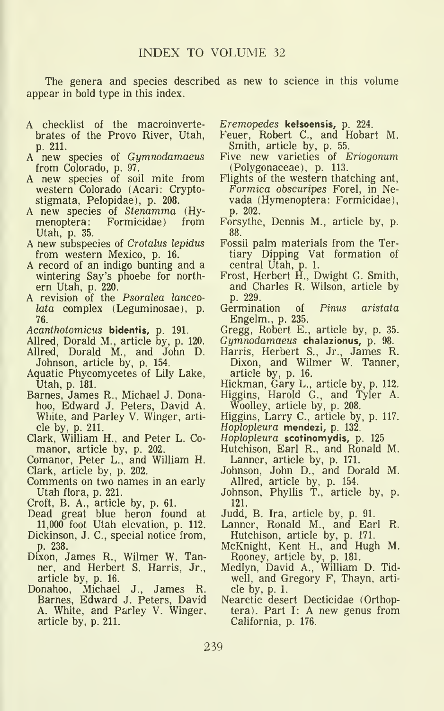The genera and species described as new to science in this volume appear in bold type in this index.

- A checklist of the macroinvertebrates of the Provo River, Utah, p. 211.
- $new$  species of  $Gymnodamaeus$ from Colorado, p. 97.
- A new species of soil mite from western Colorado (Acari: Cryptostigmata, Pelopidae), p. 208.
- A new species of *Stenamma* (Hy-<br>menoptera: Formicidae) from Formicidae) Utah, p. 35.
- A new subspecies of Crotalus lepidus from western Mexico, p. 16.
- A record of an indigo bunting and a wintering Say's phoebe for north ern Utah, p. 220.
- A revision of the Psoralea lanceolata complex (Leguminosae), p. 76.
- Acanthotomicus bidentis, p. 191.
- Allred, Dorald M., article by, p. 120.
- Allred, Dorald M., and John D. Johnson, article by, p. 154.
- Aquatic Phycomycetes of Lily Lake, Utah, p. 181.
- Barnes, James R., Michael J. Donahoo, Edward J. Peters, David A. White, and Parley V. Winger, arti cle by, p. 211.
- Clark, William H., and Peter L. Comanor, article by, p. 202.
- Comanor, Peter L., and William H.
- Clark, article by, p. 202.
- Comments on two names in an early Utah flora, p. 221.
- 
- Croft, B. A., article by, p. 61.<br>Dead great blue heron found at Ju 11,000 foot Utah elevation, p. 112.
- Dickinson, J. C, special notice from, p. 238.
- Dixon, James R., Wilmer W. Tanner, and Herbert S. Harris, Jr., article by, p. 16.
- Donahoo, Michael J., James R. Barnes, Edward J. Peters, David A. White, and Parley V. Winger, article by, p. 211.

Eremopedes kelsoensis, p. 224.

- Feuer, Robert C, and Hobart M. Smith, article by, p. 55.
- Five new varieties of Eriogonum (Polygonaceae), p. 113.
- Flights of the western thatching ant, Formica obscuripes Forel, in Ne vada (Hymenoptera: Formicidae), p. 202.
- Forsythe, Dennis M., article by, p. 88.
- Fossil palm materials from the Tertiary Dipping Vat formation of central Utah, p. 1.
- Frost, Herbert H., Dwight G. Smith, and Charles R. Wilson, article by p. 229.
- Germination of Pinus aristata Engelm., p. 235.
- Gregg, Robert E., article by, p. 35.
- Gymnodamaeus chalazionus, p. 98.
- Harris, Herbert S., Jr., James R. Dixon, and Wilmer W. Tanner, article by, p. 16.
- Hickman, Gary L., article by, p. 112.
- Higgins, Harold G., and Tyler A. Woolley, article by, p. 208.
- Higgins, Larry C, article by, p. 117. Hoplopleura mendezi, p. 132.
- Hoplopleura scotinomydis, p. 125
- Hutchison, Earl R., and Ronald M. Lanner, article by, p. 171.
- Johnson, John D., and Dorald M.
- Allred, article by, p. 154. Johnson, Phyllis T., article by, p. 121.
- Judd, B. Ira, article by, p. 91.
- Lanner, Ronald M., and Earl R.
- Hutchison, article by, p. 171. McKnight, Kent H., and Hugh M. Rooney, article by, p. 181.
- Medlyn, David A., William D. Tidwell, and Gregory F, Thayn, arti cle by, p. 1.
- Nearctic desert Decticidae (Orthoptera). Part I: A new genus from California, p. 176.